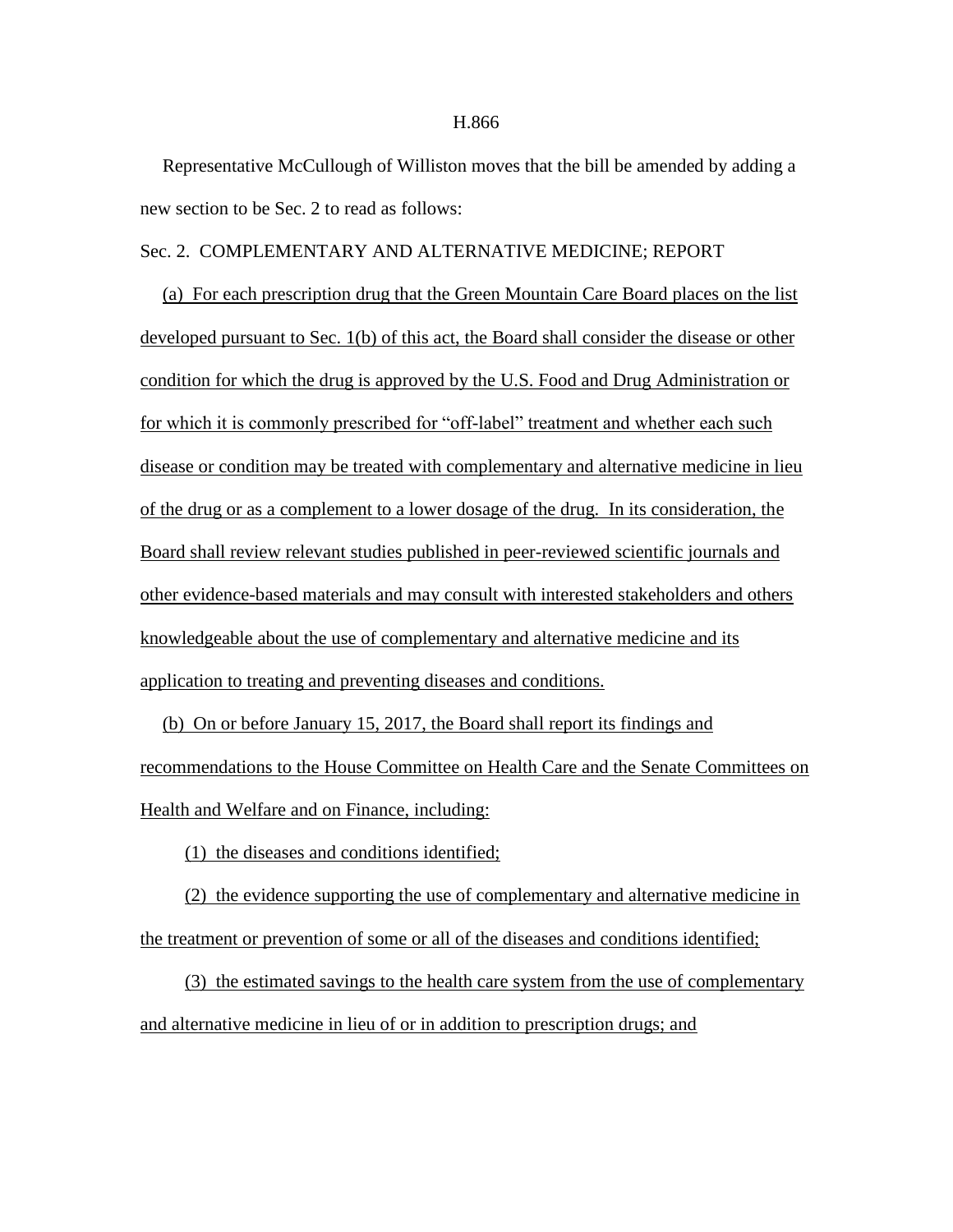## Representative McCullough of Williston moves that the bill be amended by adding a new section to be Sec. 2 to read as follows:

## Sec. 2. COMPLEMENTARY AND ALTERNATIVE MEDICINE; REPORT

(a) For each prescription drug that the Green Mountain Care Board places on the list developed pursuant to Sec. 1(b) of this act, the Board shall consider the disease or other condition for which the drug is approved by the U.S. Food and Drug Administration or for which it is commonly prescribed for "off-label" treatment and whether each such disease or condition may be treated with complementary and alternative medicine in lieu of the drug or as a complement to a lower dosage of the drug. In its consideration, the Board shall review relevant studies published in peer-reviewed scientific journals and other evidence-based materials and may consult with interested stakeholders and others knowledgeable about the use of complementary and alternative medicine and its application to treating and preventing diseases and conditions.

(b) On or before January 15, 2017, the Board shall report its findings and recommendations to the House Committee on Health Care and the Senate Committees on Health and Welfare and on Finance, including:

(1) the diseases and conditions identified;

(2) the evidence supporting the use of complementary and alternative medicine in the treatment or prevention of some or all of the diseases and conditions identified;

(3) the estimated savings to the health care system from the use of complementary and alternative medicine in lieu of or in addition to prescription drugs; and

## H.866